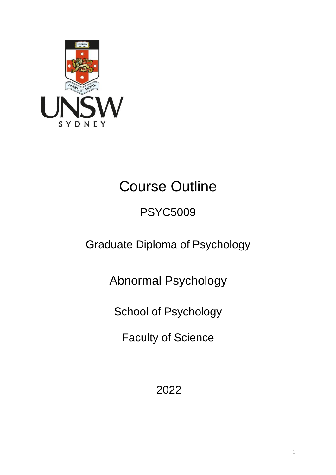

# Course Outline

# PSYC5009

Graduate Diploma of Psychology

Abnormal Psychology

School of Psychology

Faculty of Science

2022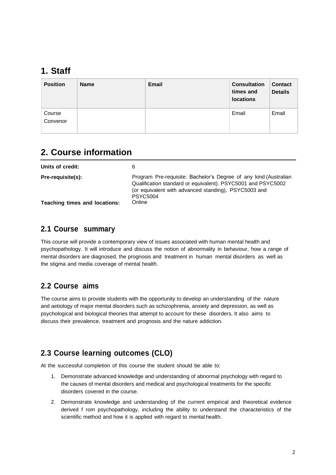### **1. Staff**

| <b>Position</b>    | <b>Name</b> | <b>Email</b> | <b>Consultation</b><br>times and<br><b>locations</b> | <b>Contact</b><br><b>Details</b> |
|--------------------|-------------|--------------|------------------------------------------------------|----------------------------------|
| Course<br>Convenor |             |              | Email                                                | Email                            |

# **2. Course information**

| Units of credit:              | 6                                                                                                                                                                                                           |
|-------------------------------|-------------------------------------------------------------------------------------------------------------------------------------------------------------------------------------------------------------|
| Pre-requisite(s):             | Program Pre-requisite: Bachelor's Degree of any kind (Australian<br>Qualification standard or equivalent). PSYC5001 and PSYC5002<br>(or equivalent with advanced standing), PSYC5003 and<br><b>PSYC5004</b> |
| Teaching times and locations: | Online                                                                                                                                                                                                      |

#### **2.1 Course summary**

This course will provide a contemporary view of issues associated with human mental health and psychopathology. It will introduce and discuss the notion of abnormality in behaviour, how a range of mental disorders are diagnosed, the prognosis and treatment in human mental disorders as well as the stigma and media coverage of mental health.

#### **2.2 Course aims**

The course aims to provide students with the opportunity to develop an understanding of the nature and aetiology of major mental disorders such as schizophrenia, anxiety and depression, as well as psychological and biological theories that attempt to account for these disorders. It also aims to discuss their prevalence, treatment and prognosis and the nature addiction.

#### **2.3 Course learning outcomes (CLO)**

At the successful completion of this course the student should be able to:

- 1. Demonstrate advanced knowledge and understanding of abnormal psychology with regard to the causes of mental disorders and medical and psychological treatments for the specific disorders covered in the course.
- 2. Demonstrate knowledge and understanding of the current empirical and theoretical evidence derived f rom psychopathology, including the ability to understand the characteristics of the scientific method and how it is applied with regard to mental health.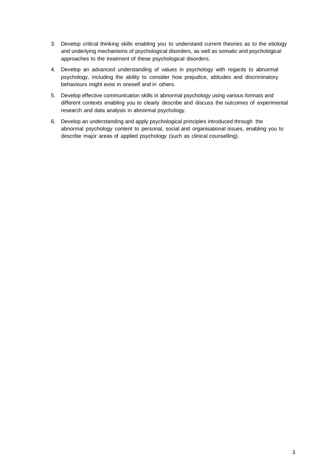- 3. Develop critical thinking skills enabling you to understand current theories as to the etiology and underlying mechanisms of psychological disorders, as well as somatic and psychological approaches to the treatment of these psychological disorders.
- 4. Develop an advanced understanding of values in psychology with regards to abnormal psychology, including the ability to consider how prejudice, attitudes and discriminatory behaviours might exist in oneself and in others.
- 5. Develop effective communication skills in abnormal psychology using various formats and different contexts enabling you to clearly describe and discuss the outcomes of experimental research and data analysis in abnormal psychology.
- 6. Develop an understanding and apply psychological principles introduced through the abnormal psychology content to personal, social and organisational issues, enabling you to describe major areas of applied psychology (such as clinical counselling).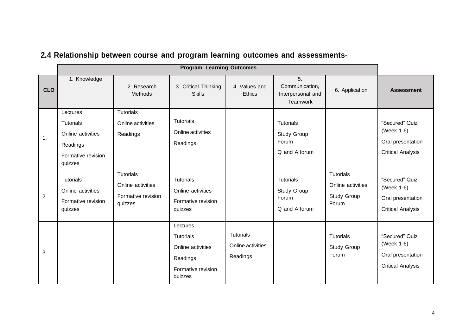|            | <b>Program Learning Outcomes</b>                                                               |                                                                        |                                                                                                |                                                   |                                                                  |                                                               |                                                                               |
|------------|------------------------------------------------------------------------------------------------|------------------------------------------------------------------------|------------------------------------------------------------------------------------------------|---------------------------------------------------|------------------------------------------------------------------|---------------------------------------------------------------|-------------------------------------------------------------------------------|
| <b>CLO</b> | 1. Knowledge                                                                                   | 2. Research<br><b>Methods</b>                                          | 3. Critical Thinking<br><b>Skills</b>                                                          | 4. Values and<br><b>Ethics</b>                    | 5.<br>Communication,<br>Interpersonal and<br>Teamwork            | 6. Application                                                | <b>Assessment</b>                                                             |
| 1.         | Lectures<br><b>Tutorials</b><br>Online activities<br>Readings<br>Formative revision<br>quizzes | <b>Tutorials</b><br>Online activities<br>Readings                      | <b>Tutorials</b><br>Online activities<br>Readings                                              |                                                   | <b>Tutorials</b><br><b>Study Group</b><br>Forum<br>Q and A forum |                                                               | "Secured" Quiz<br>(Week 1-6)<br>Oral presentation<br><b>Critical Analysis</b> |
| 2.         | <b>Tutorials</b><br>Online activities<br>Formative revision<br>quizzes                         | <b>Tutorials</b><br>Online activities<br>Formative revision<br>quizzes | <b>Tutorials</b><br>Online activities<br>Formative revision<br>quizzes                         |                                                   | <b>Tutorials</b><br>Study Group<br>Forum<br>Q and A forum        | <b>Tutorials</b><br>Online activities<br>Study Group<br>Forum | "Secured" Quiz<br>(Week 1-6)<br>Oral presentation<br><b>Critical Analysis</b> |
| 3.         |                                                                                                |                                                                        | Lectures<br><b>Tutorials</b><br>Online activities<br>Readings<br>Formative revision<br>quizzes | <b>Tutorials</b><br>Online activities<br>Readings |                                                                  | <b>Tutorials</b><br><b>Study Group</b><br>Forum               | "Secured" Quiz<br>(Week 1-6)<br>Oral presentation<br><b>Critical Analysis</b> |

# **2.4 Relationship between course and program learning outcomes and assessments-**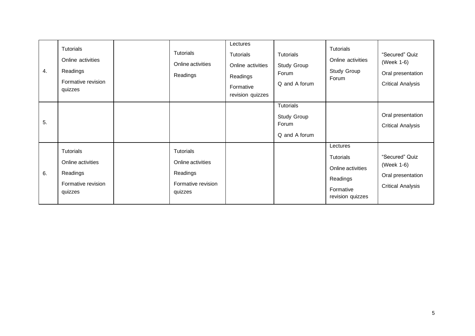| 4. | <b>Tutorials</b><br>Online activities<br>Readings<br>Formative revision<br>quizzes | <b>Tutorials</b><br>Online activities<br>Readings                                  | Lectures<br><b>Tutorials</b><br>Online activities<br>Readings<br>Formative<br>revision quizzes | <b>Tutorials</b><br>Study Group<br>Forum<br>Q and A forum | <b>Tutorials</b><br>Online activities<br>Study Group<br>Forum                                  | "Secured" Quiz<br>(Week 1-6)<br>Oral presentation<br><b>Critical Analysis</b> |
|----|------------------------------------------------------------------------------------|------------------------------------------------------------------------------------|------------------------------------------------------------------------------------------------|-----------------------------------------------------------|------------------------------------------------------------------------------------------------|-------------------------------------------------------------------------------|
| 5. |                                                                                    |                                                                                    |                                                                                                | Tutorials<br>Study Group<br>Forum<br>Q and A forum        |                                                                                                | Oral presentation<br><b>Critical Analysis</b>                                 |
| 6. | <b>Tutorials</b><br>Online activities<br>Readings<br>Formative revision<br>quizzes | <b>Tutorials</b><br>Online activities<br>Readings<br>Formative revision<br>quizzes |                                                                                                |                                                           | Lectures<br><b>Tutorials</b><br>Online activities<br>Readings<br>Formative<br>revision quizzes | "Secured" Quiz<br>(Week 1-6)<br>Oral presentation<br><b>Critical Analysis</b> |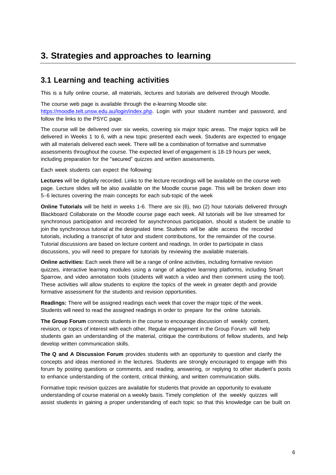# **3. Strategies and approaches to learning**

#### **3.1 Learning and teaching activities**

This is a fully online course, all materials, lectures and tutorials are delivered through Moodle.

The course web page is available through the e-learning Moodle site: https://moodle.telt.unsw.edu.au/login/index.php. Login with your student number and password, and follow the links to the PSYC page.

The course will be delivered over six weeks, covering six major topic areas. The major topics will be delivered in Weeks 1 to 6, with a new topic presented each week. Students are expected to engage with all materials delivered each week. There will be a combination of formative and summative assessments throughout the course. The expected level of engagement is 18-19 hours per week, including preparation for the "secured" quizzes and written assessments.

Each week students can expect the following:

**Lectures** will be digitally recorded. Links to the lecture recordings will be available on the course web page. Lecture slides will be also available on the Moodle course page. This will be broken down into 5-6 lectures covering the main concepts for each sub-topic of the week

**Online Tutorials** will be held in weeks 1-6. There are six (6), two (2) hour tutorials delivered through Blackboard Collaborate on the Moodle course page each week. All tutorials will be live streamed for synchronous participation and recorded for asynchronous participation, should a student be unable to join the synchronous tutorial at the designated time. Students will be able access the recorded tutorials, including a transcript of tutor and student contributions, for the remainder of the course. Tutorial discussions are based on lecture content and readings. In order to participate in class discussions, you will need to prepare for tutorials by reviewing the available materials.

**Online activities:** Each week there will be a range of online activities, including formative revision quizzes, interactive learning modules using a range of adaptive learning platforms, including Smart Sparrow, and video annotation tools (students will watch a video and then comment using the tool). These activities will allow students to explore the topics of the week in greater depth and provide formative assessment for the students and revision opportunities.

**Readings:** There will be assigned readings each week that cover the major topic of the week. Students will need to read the assigned readings in order to prepare for the online tutorials.

**The Group Forum** connects students in the course to encourage discussion of weekly content, revision, or topics of interest with each other. Regular engagement in the Group Forum will help students gain an understanding of the material, critique the contributions of fellow students, and help develop written communication skills.

**The Q and A Discussion Forum** provides students with an opportunity to question and clarify the concepts and ideas mentioned in the lectures. Students are strongly encouraged to engage with this forum by posting questions or comments, and reading, answering, or replying to other student's posts to enhance understanding of the content, critical thinking, and written communication skills.

Formative topic revision quizzes are available for students that provide an opportunity to evaluate understanding of course material on a weekly basis. Timely completion of the weekly quizzes will assist students in gaining a proper understanding of each topic so that this knowledge can be built on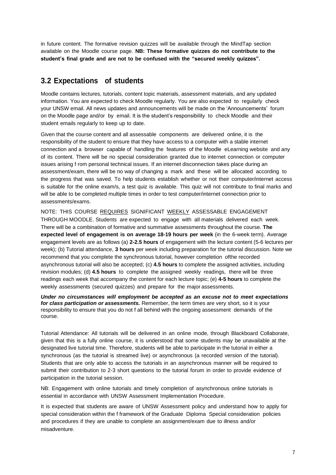in future content. The formative revision quizzes will be available through the MindTap section available on the Moodle course page. **NB: These formative quizzes do not contribute to the student's final grade and are not to be confused with the "secured weekly quizzes".**

#### **3.2 Expectations of students**

Moodle contains lectures, tutorials, content topic materials, assessment materials, and any updated information. You are expected to check Moodle regularly. You are also expected to regularly check your UNSW email. All news updates and announcements will be made on the 'Announcements' forum on the Moodle page and/or by email. It is the student's responsibility to check Moodle and their student emails regularly to keep up to date.

Given that the course content and all assessable components are delivered online, it is the responsibility of the student to ensure that they have access to a computer with a stable internet connection and a browser capable of handling the features of the Moodle eLearning website and any of its content. There will be no special consideration granted due to internet connection or computer issues arising f rom personal technical issues. If an internet disconnection takes place during an assessment/exam, there will be no way of changing a mark and these will be allocated according to the progress that was saved. To help students establish whether or not their computer/internet access is suitable for the online exam/s, a test quiz is available. This quiz will not contribute to final marks and will be able to be completed multiple times in order to test computer/internet connection prior to assessments/exams.

NOTE: THIS COURSE REQUIRES SIGNIFICANT WEEKLY ASSESSABLE ENGAGEMENT THROUGH MOODLE. Students are expected to engage with all materials delivered each week. There will be a combination of formative and summative assessments throughout the course. **The expected level of engagement is on average 18-19 hours per week** (in the 6-week term). Average engagement levels are as follows (a) **2-2.5 hours** of engagement with the lecture content (5-6 lectures per week); (b) Tutorial attendance, **3 hours** per week including preparation for the tutorial discussion. Note we recommend that you complete the synchronous tutorial, however completion ofthe recorded asynchronous tutorial will also be accepted; (c) **4.5 hours** to complete the assigned activities, including revision modules; (d) **4.5 hours** to complete the assigned weekly readings, there will be three readings each week that accompany the content for each lecture topic; (e) **4-5 hours** to complete the weekly assessments (secured quizzes) and prepare for the major assessments.

*Under no circumstances will employment be accepted as an excuse not to meet expectations for class participation or assessments.* Remember, the term times are very short, so it is your responsibility to ensure that you do not f all behind with the ongoing assessment demands of the course.

Tutorial Attendance: All tutorials will be delivered in an online mode, through Blackboard Collaborate, given that this is a fully online course, it is understood that some students may be unavailable at the designated live tutorial time. Therefore, students will be able to participate in the tutorial in either a synchronous (as the tutorial is streamed live) or asynchronous (a recorded version of the tutorial). Students that are only able to access the tutorials in an asynchronous manner will be required to submit their contribution to 2-3 short questions to the tutorial forum in order to provide evidence of participation in the tutorial session.

NB: Engagement with online tutorials and timely completion of asynchronous online tutorials is essential in accordance with UNSW Assessment Implementation Procedure.

It is expected that students are aware of UNSW Assessment policy and understand how to apply for special consideration within the f framework of the Graduate Diploma Special consideration policies and procedures if they are unable to complete an assignment/exam due to illness and/or misadventure.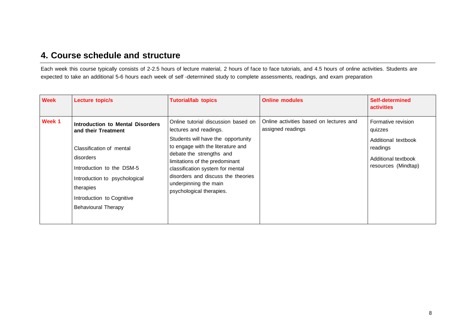#### **4. Course schedule and structure**

Each week this course typically consists of 2-2.5 hours of lecture material, 2 hours of face to face tutorials, and 4.5 hours of online activities. Students are expected to take an additional 5-6 hours each week of self -determined study to complete assessments, readings, and exam preparation

| <b>Week</b> | Lecture topic/s                                                                                                                                                                                                                 | <b>Tutorial/lab topics</b>                                                                                                                                                                                                                                                                                                            | <b>Online modules</b>                                        | Self-determined<br><b>activities</b>                                                                           |
|-------------|---------------------------------------------------------------------------------------------------------------------------------------------------------------------------------------------------------------------------------|---------------------------------------------------------------------------------------------------------------------------------------------------------------------------------------------------------------------------------------------------------------------------------------------------------------------------------------|--------------------------------------------------------------|----------------------------------------------------------------------------------------------------------------|
| Week 1      | Introduction to Mental Disorders<br>and their Treatment<br>Classification of mental<br>disorders<br>Introduction to the DSM-5<br>Introduction to psychological<br>therapies<br>Introduction to Cognitive<br>Behavioural Therapy | Online tutorial discussion based on<br>lectures and readings.<br>Students will have the opportunity<br>to engage with the literature and<br>debate the strengths and<br>limitations of the predominant<br>classification system for mental<br>disorders and discuss the theories<br>underpinning the main<br>psychological therapies. | Online activities based on lectures and<br>assigned readings | Formative revision<br>quizzes<br>Additional textbook<br>readings<br>Additional textbook<br>resources (Mindtap) |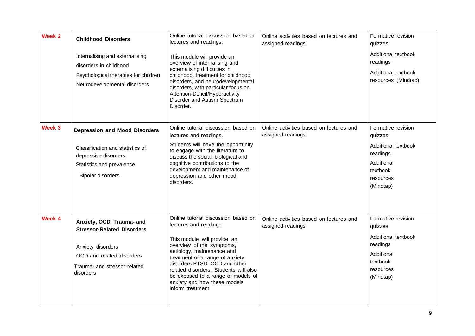| Week 2            | <b>Childhood Disorders</b><br>Internalising and externalising<br>disorders in childhood<br>Psychological therapies for children<br>Neurodevelopmental disorders | Online tutorial discussion based on<br>lectures and readings.<br>This module will provide an<br>overview of internalising and<br>externalising difficulties in<br>childhood, treatment for childhood<br>disorders, and neurodevelopmental<br>disorders, with particular focus on<br>Attention-Deficit/Hyperactivity<br>Disorder and Autism Spectrum<br>Disorder. | Online activities based on lectures and<br>assigned readings | Formative revision<br>quizzes<br>Additional textbook<br>readings<br>Additional textbook<br>resources (Mindtap)       |
|-------------------|-----------------------------------------------------------------------------------------------------------------------------------------------------------------|------------------------------------------------------------------------------------------------------------------------------------------------------------------------------------------------------------------------------------------------------------------------------------------------------------------------------------------------------------------|--------------------------------------------------------------|----------------------------------------------------------------------------------------------------------------------|
| Week <sub>3</sub> | <b>Depression and Mood Disorders</b><br>Classification and statistics of<br>depressive disorders<br>Statistics and prevalence<br><b>Bipolar disorders</b>       | Online tutorial discussion based on<br>lectures and readings.<br>Students will have the opportunity<br>to engage with the literature to<br>discuss the social, biological and<br>cognitive contributions to the<br>development and maintenance of<br>depression and other mood<br>disorders.                                                                     | Online activities based on lectures and<br>assigned readings | Formative revision<br>quizzes<br>Additional textbook<br>readings<br>Additional<br>textbook<br>resources<br>(Mindtap) |
| Week 4            | Anxiety, OCD, Trauma- and<br><b>Stressor-Related Disorders</b><br>Anxiety disorders<br>OCD and related disorders<br>Trauma- and stressor-related<br>disorders   | Online tutorial discussion based on<br>lectures and readings.<br>This module will provide an<br>overview of the symptoms,<br>aetiology, maintenance and<br>treatment of a range of anxiety<br>disorders PTSD, OCD and other<br>related disorders. Students will also<br>be exposed to a range of models of<br>anxiety and how these models<br>inform treatment.  | Online activities based on lectures and<br>assigned readings | Formative revision<br>quizzes<br>Additional textbook<br>readings<br>Additional<br>textbook<br>resources<br>(Mindtap) |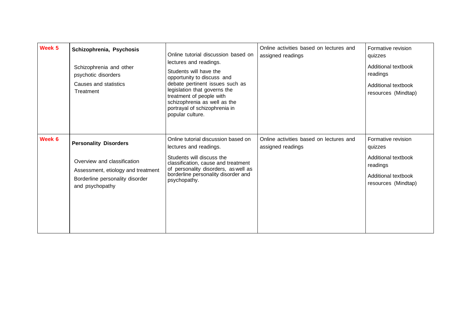| Week 5 | Schizophrenia, Psychosis<br>Schizophrenia and other<br>psychotic disorders<br>Causes and statistics<br>Treatment                                        | Online tutorial discussion based on<br>lectures and readings.<br>Students will have the<br>opportunity to discuss and<br>debate pertinent issues such as<br>legislation that governs the<br>treatment of people with<br>schizophrenia as well as the<br>portrayal of schizophrenia in<br>popular culture. | Online activities based on lectures and<br>assigned readings | Formative revision<br>quizzes<br>Additional textbook<br>readings<br>Additional textbook<br>resources (Mindtap) |
|--------|---------------------------------------------------------------------------------------------------------------------------------------------------------|-----------------------------------------------------------------------------------------------------------------------------------------------------------------------------------------------------------------------------------------------------------------------------------------------------------|--------------------------------------------------------------|----------------------------------------------------------------------------------------------------------------|
| Week 6 | <b>Personality Disorders</b><br>Overview and classification<br>Assessment, etiology and treatment<br>Borderline personality disorder<br>and psychopathy | Online tutorial discussion based on<br>lectures and readings.<br>Students will discuss the<br>classification, cause and treatment<br>of personality disorders, as well as<br>borderline personality disorder and<br>psychopathy.                                                                          | Online activities based on lectures and<br>assigned readings | Formative revision<br>quizzes<br>Additional textbook<br>readings<br>Additional textbook<br>resources (Mindtap) |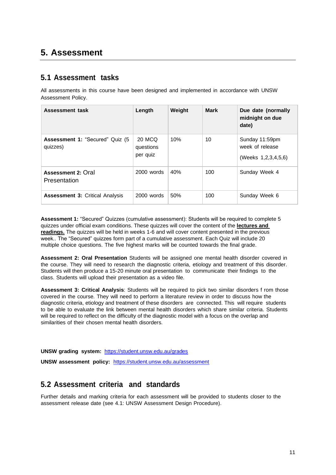# **5. Assessment**

#### **5.1 Assessment tasks**

All assessments in this course have been designed and implemented in accordance with UNSW Assessment Policy.

| <b>Assessment task</b>                      | Length                          | Weight | <b>Mark</b> | Due date (normally<br>midnight on due<br>date)                |
|---------------------------------------------|---------------------------------|--------|-------------|---------------------------------------------------------------|
| Assessment 1: "Secured" Quiz (5<br>quizzes) | 20 MCQ<br>questions<br>per quiz | 10%    | 10          | Sunday 11:59pm<br>week of release<br>(Weeks 1, 2, 3, 4, 5, 6) |
| Assessment 2: Oral<br>Presentation          | $2000$ words                    | 40%    | 100         | Sunday Week 4                                                 |
| <b>Assessment 3: Critical Analysis</b>      | 2000 words                      | 50%    | 100         | Sunday Week 6                                                 |

**Assessment 1:** "Secured" Quizzes (cumulative assessment): Students will be required to complete 5 quizzes under official exam conditions. These quizzes will cover the content of the **lectures and readings.** The quizzes will be held in weeks 1-6 and will cover content presented in the previous week.. The "Secured" quizzes form part of a cumulative assessment. Each Quiz will include 20 multiple choice questions. The five highest marks will be counted towards the final grade.

**Assessment 2: Oral Presentation** Students will be assigned one mental health disorder covered in the course. They will need to research the diagnostic criteria, etiology and treatment of this disorder. Students will then produce a 15-20 minute oral presentation to communicate their findings to the class. Students will upload their presentation as a video file.

**Assessment 3: Critical Analysis**: Students will be required to pick two similar disorders f rom those covered in the course. They will need to perform a literature review in order to discuss how the diagnostic criteria, etiology and treatment of these disorders are connected. This will require students to be able to evaluate the link between mental health disorders which share similar criteria. Students will be required to reflect on the difficulty of the diagnostic model with a focus on the overlap and similarities of their chosen mental health disorders.

**UNSW grading system:** https://student.unsw.edu.au/grades

**UNSW assessment policy:** https://student.unsw.edu.au/assessment

#### **5.2 Assessment criteria and standards**

Further details and marking criteria for each assessment will be provided to students closer to the assessment release date (see 4.1: UNSW Assessment Design Procedure).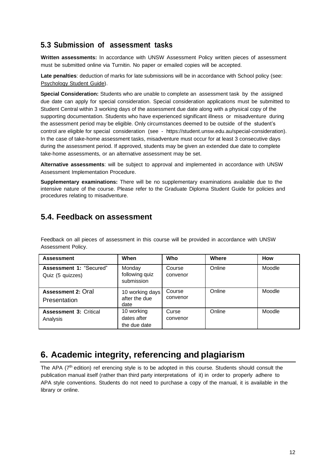#### **5.3 Submission of assessment tasks**

**Written assessments:** In accordance with UNSW Assessment Policy written pieces of assessment must be submitted online via Turnitin. No paper or emailed copies will be accepted.

**Late penalties**: deduction of marks for late submissions will be in accordance with School policy (see: Psychology Student Guide).

**Special Consideration:** Students who are unable to complete an assessment task by the assigned due date can apply for special consideration. Special consideration applications must be submitted to Student Central within 3 working days of the assessment due date along with a physical copy of the supporting documentation. Students who have experienced significant illness or misadventure during the assessment period may be eligible. Only circumstances deemed to be outside of the student's control are eligible for special consideration (see - https://student.unsw.edu.au/special-consideration). In the case of take-home assessment tasks, misadventure must occur for at least 3 consecutive days during the assessment period. If approved, students may be given an extended due date to complete take-home assessments, or an alternative assessment may be set.

**Alternative assessments**: will be subject to approval and implemented in accordance with UNSW Assessment Implementation Procedure.

**Supplementary examinations:** There will be no supplementary examinations available due to the intensive nature of the course. Please refer to the Graduate Diploma Student Guide for policies and procedures relating to misadventure.

#### **5.4. Feedback on assessment**

Feedback on all pieces of assessment in this course will be provided in accordance with UNSW Assessment Policy.

| <b>Assessment</b>                           | When                                      | Who                | Where  | How    |
|---------------------------------------------|-------------------------------------------|--------------------|--------|--------|
| Assessment 1: "Secured"<br>Quiz (5 quizzes) | Monday<br>following quiz<br>submission    | Course<br>convenor | Online | Moodle |
| <b>Assessment 2: Oral</b><br>Presentation   | 10 working days<br>after the due<br>date  | Course<br>convenor | Online | Moodle |
| <b>Assessment 3: Critical</b><br>Analysis   | 10 working<br>dates after<br>the due date | Curse<br>convenor  | Online | Moodle |

# **6. Academic integrity, referencing and plagiarism**

The APA (7<sup>th</sup> edition) ref erencing style is to be adopted in this course. Students should consult the publication manual itself (rather than third party interpretations of it) in order to properly adhere to APA style conventions. Students do not need to purchase a copy of the manual, it is available in the library or online.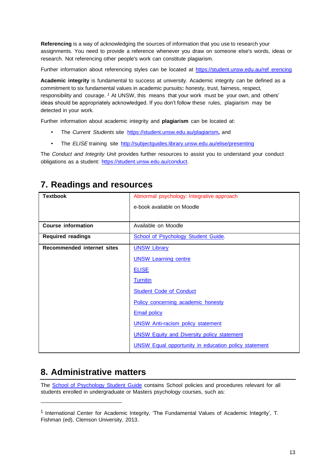**Referencing** is a way of acknowledging the sources of information that you use to research your assignments. You need to provide a reference whenever you draw on someone else's words, ideas or research. Not referencing other people's work can constitute plagiarism.

Further information about referencing styles can be located at https://student.unsw.edu.au/ref erencing

**Academic integrity** is fundamental to success at university. Academic integrity can be defined as a commitment to six fundamental values in academic pursuits**:** honesty, trust, fairness, respect, responsibility and courage. *<sup>1</sup>* At UNSW, this means that your work must be your own, and others' ideas should be appropriately acknowledged. If you don't follow these rules, plagiarism may be detected in your work.

Further information about academic integrity and **plagiarism** can be located at:

- The *Current Students* site https://student.unsw.edu.au/plagiarism*,* and
- The *ELISE* training site <http://subjectguides.library.unsw.edu.au/elise/presenting>

The *Conduct and Integrity Unit* provides further resources to assist you to understand your conduct obligations as a student: https://student.unsw.edu.au/conduct.

| <b>Textbook</b>                   | Abnormal psychology: Integrative approach                   |
|-----------------------------------|-------------------------------------------------------------|
|                                   | e-book available on Moodle                                  |
|                                   |                                                             |
| <b>Course information</b>         | Available on Moodle                                         |
| <b>Required readings</b>          | School of Psychology Student Guide.                         |
| <b>Recommended internet sites</b> | <b>UNSW Library</b>                                         |
|                                   | <b>UNSW Learning centre</b>                                 |
|                                   | <b>ELISE</b>                                                |
|                                   | <b>Turnitin</b>                                             |
|                                   | <b>Student Code of Conduct</b>                              |
|                                   | Policy concerning academic honesty                          |
|                                   | <b>Email policy</b>                                         |
|                                   | <b>UNSW Anti-racism policy statement</b>                    |
|                                   | <b>UNSW Equity and Diversity policy statement</b>           |
|                                   | <b>UNSW Equal opportunity in education policy statement</b> |

# **7. Readings and resources**

# **8. Administrative matters**

The School of Psychology Student Guide contains School policies and procedures relevant for all students enrolled in undergraduate or Masters psychology courses, such as:

<sup>&</sup>lt;sup>1</sup> International Center for Academic Integrity, 'The Fundamental Values of Academic Integrity', T. Fishman (ed), Clemson University, 2013.